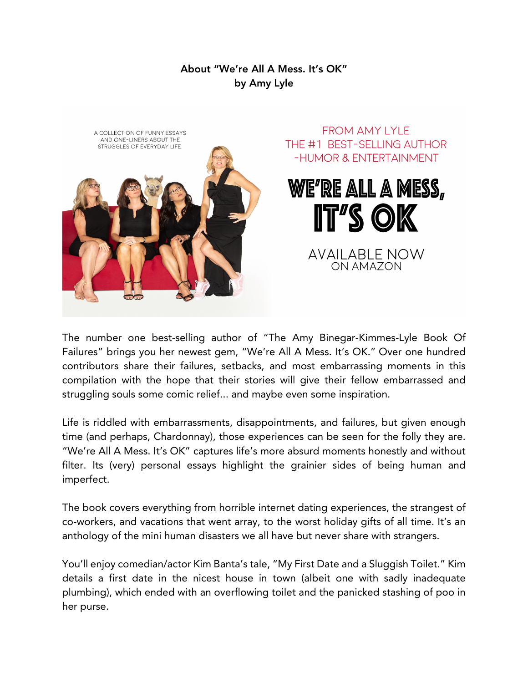## About "We're All A Mess. It's OK" by Amy Lyle



The number one best-selling author of "The Amy Binegar-Kimmes-Lyle Book Of Failures" brings you her newest gem, "We're All A Mess. It's OK." Over one hundred contributors share their failures, setbacks, and most embarrassing moments in this compilation with the hope that their stories will give their fellow embarrassed and struggling souls some comic relief... and maybe even some inspiration.

Life is riddled with embarrassments, disappointments, and failures, but given enough time (and perhaps, Chardonnay), those experiences can be seen for the folly they are. "We're All A Mess. It's OK" captures life's more absurd moments honestly and without filter. Its (very) personal essays highlight the grainier sides of being human and imperfect.

The book covers everything from horrible internet dating experiences, the strangest of co-workers, and vacations that went array, to the worst holiday gifts of all time. It's an anthology of the mini human disasters we all have but never share with strangers.

You'll enjoy comedian/actor Kim Banta's tale, "My First Date and a Sluggish Toilet." Kim details a first date in the nicest house in town (albeit one with sadly inadequate plumbing), which ended with an overflowing toilet and the panicked stashing of poo in her purse.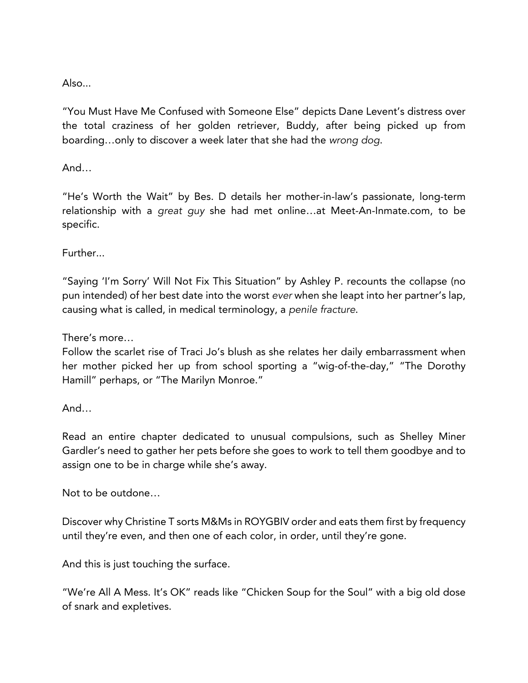## Also...

"You Must Have Me Confused with Someone Else" depicts Dane Levent's distress over the total craziness of her golden retriever, Buddy, after being picked up from boarding…only to discover a week later that she had the *wrong dog*.

And…

"He's Worth the Wait" by Bes. D details her mother-in-law's passionate, long-term relationship with a *great guy* she had met online…at Meet-An-Inmate.com, to be specific.

Further...

"Saying 'I'm Sorry' Will Not Fix This Situation" by Ashley P. recounts the collapse (no pun intended) of her best date into the worst *ever* when she leapt into her partner's lap, causing what is called, in medical terminology, a *penile fracture*.

There's more…

Follow the scarlet rise of Traci Jo's blush as she relates her daily embarrassment when her mother picked her up from school sporting a "wig-of-the-day," "The Dorothy Hamill" perhaps, or "The Marilyn Monroe."

And…

Read an entire chapter dedicated to unusual compulsions, such as Shelley Miner Gardler's need to gather her pets before she goes to work to tell them goodbye and to assign one to be in charge while she's away.

Not to be outdone…

Discover why Christine T sorts M&Ms in ROYGBIV order and eats them first by frequency until they're even, and then one of each color, in order, until they're gone.

And this is just touching the surface.

"We're All A Mess. It's OK" reads like "Chicken Soup for the Soul" with a big old dose of snark and expletives.